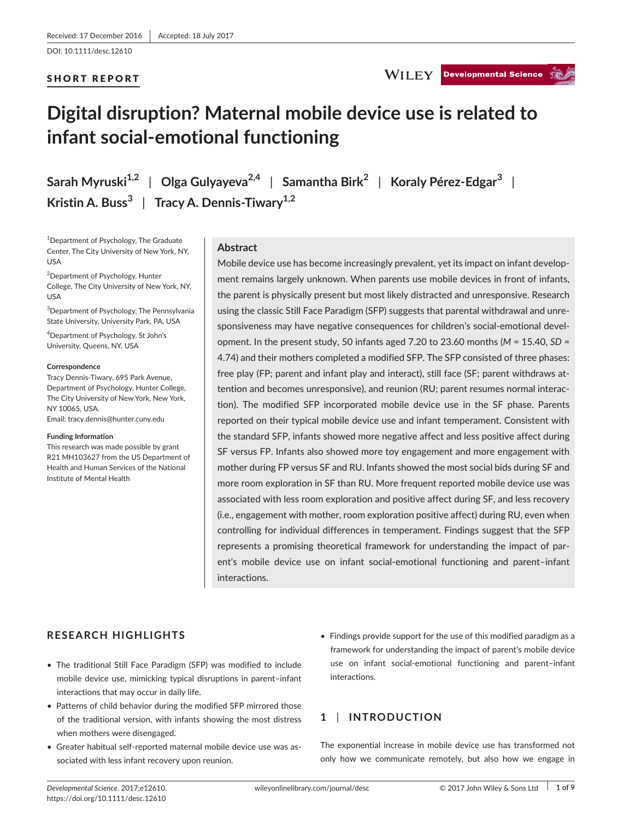## SHORT REPORT

## WILEY Developmental Science

# **Digital disruption? Maternal mobile device use is related to infant social-emotional functioning**

**Sarah Myruski1,2** | **Olga Gulyayeva2,4** | **Samantha Birk<sup>2</sup>** | **Koraly Pérez-Edgar<sup>3</sup>** | **Kristin A. Buss<sup>3</sup>** | **Tracy A. Dennis-Tiwary1,2**

1 Department of Psychology, The Graduate Center, The City University of New York, NY, USA

<sup>2</sup>Department of Psychology, Hunter College, The City University of New York, NY, USA

3 Department of Psychology, The Pennsylvania State University, University Park, PA, USA

4 Department of Psychology, St John's University, Queens, NY, USA

#### **Correspondence**

Tracy Dennis-Tiwary, 695 Park Avenue, Department of Psychology, Hunter College, The City University of New York, New York, NY 10065, USA.

Email: [tracy.dennis@hunter.cuny.edu](mailto:tracy.dennis@hunter.cuny.edu)

#### **Funding Information**

This research was made possible by grant R21 MH103627 from the US Department of Health and Human Services of the National Institute of Mental Health

## **Abstract**

Mobile device use has become increasingly prevalent, yet its impact on infant development remains largely unknown. When parents use mobile devices in front of infants, the parent is physically present but most likely distracted and unresponsive. Research using the classic Still Face Paradigm (SFP) suggests that parental withdrawal and unresponsiveness may have negative consequences for children's social-emotional development. In the present study, 50 infants aged 7.20 to 23.60 months (*M* = 15.40, *SD* = 4.74) and their mothers completed a modified SFP. The SFP consisted of three phases: free play (FP; parent and infant play and interact), still face (SF; parent withdraws attention and becomes unresponsive), and reunion (RU; parent resumes normal interaction). The modified SFP incorporated mobile device use in the SF phase. Parents reported on their typical mobile device use and infant temperament. Consistent with the standard SFP, infants showed more negative affect and less positive affect during SF versus FP. Infants also showed more toy engagement and more engagement with mother during FP versus SF and RU. Infants showed the most social bids during SF and more room exploration in SF than RU. More frequent reported mobile device use was associated with less room exploration and positive affect during SF, and less recovery (i.e., engagement with mother, room exploration positive affect) during RU, even when controlling for individual differences in temperament. Findings suggest that the SFP represents a promising theoretical framework for understanding the impact of parent's mobile device use on infant social-emotional functioning and parent–infant interactions.

## **RESEARCH HIGHLIGHTS**

- The traditional Still Face Paradigm (SFP) was modified to include mobile device use, mimicking typical disruptions in parent–infant interactions that may occur in daily life.
- Patterns of child behavior during the modified SFP mirrored those of the traditional version, with infants showing the most distress when mothers were disengaged.
- Greater habitual self-reported maternal mobile device use was associated with less infant recovery upon reunion.
- Findings provide support for the use of this modified paradigm as a framework for understanding the impact of parent's mobile device use on infant social-emotional functioning and parent–infant interactions.

## **1** | **INTRODUCTION**

The exponential increase in mobile device use has transformed not only how we communicate remotely, but also how we engage in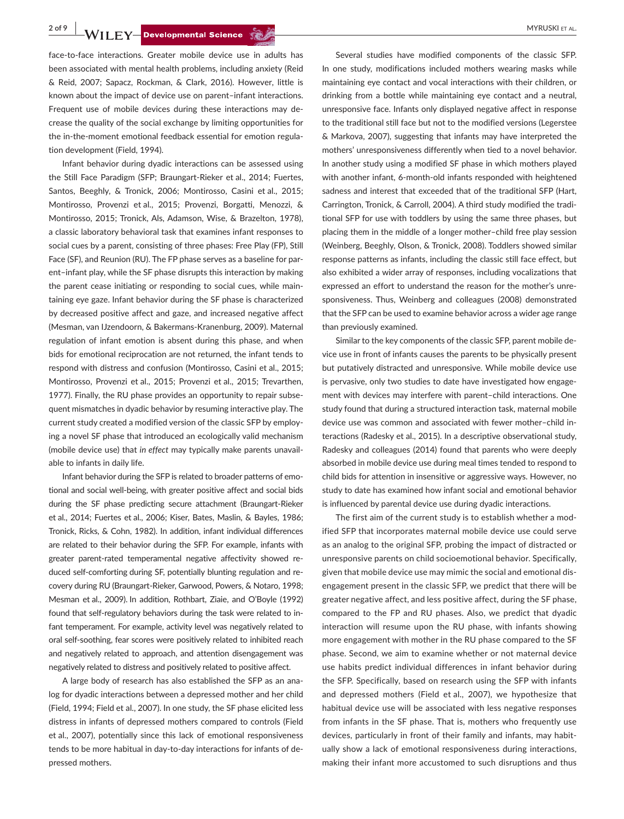**2 of 9 • MYRUSKI ET AL. Developmental Science (2)** 

face-to-face interactions. Greater mobile device use in adults has been associated with mental health problems, including anxiety (Reid & Reid, 2007; Sapacz, Rockman, & Clark, 2016). However, little is known about the impact of device use on parent–infant interactions. Frequent use of mobile devices during these interactions may decrease the quality of the social exchange by limiting opportunities for the in-the-moment emotional feedback essential for emotion regulation development (Field, 1994).

Infant behavior during dyadic interactions can be assessed using the Still Face Paradigm (SFP; Braungart-Rieker et al., 2014; Fuertes, Santos, Beeghly, & Tronick, 2006; Montirosso, Casini et al., 2015; Montirosso, Provenzi et al., 2015; Provenzi, Borgatti, Menozzi, & Montirosso, 2015; Tronick, Als, Adamson, Wise, & Brazelton, 1978), a classic laboratory behavioral task that examines infant responses to social cues by a parent, consisting of three phases: Free Play (FP), Still Face (SF), and Reunion (RU). The FP phase serves as a baseline for parent–infant play, while the SF phase disrupts this interaction by making the parent cease initiating or responding to social cues, while maintaining eye gaze. Infant behavior during the SF phase is characterized by decreased positive affect and gaze, and increased negative affect (Mesman, van IJzendoorn, & Bakermans-Kranenburg, 2009). Maternal regulation of infant emotion is absent during this phase, and when bids for emotional reciprocation are not returned, the infant tends to respond with distress and confusion (Montirosso, Casini et al., 2015; Montirosso, Provenzi et al., 2015; Provenzi et al., 2015; Trevarthen, 1977). Finally, the RU phase provides an opportunity to repair subsequent mismatches in dyadic behavior by resuming interactive play. The current study created a modified version of the classic SFP by employing a novel SF phase that introduced an ecologically valid mechanism (mobile device use) that *in effect* may typically make parents unavailable to infants in daily life.

Infant behavior during the SFP is related to broader patterns of emotional and social well-being, with greater positive affect and social bids during the SF phase predicting secure attachment (Braungart-Rieker et al., 2014; Fuertes et al., 2006; Kiser, Bates, Maslin, & Bayles, 1986; Tronick, Ricks, & Cohn, 1982). In addition, infant individual differences are related to their behavior during the SFP. For example, infants with greater parent-rated temperamental negative affectivity showed reduced self-comforting during SF, potentially blunting regulation and recovery during RU (Braungart-Rieker, Garwood, Powers, & Notaro, 1998; Mesman et al., 2009). In addition, Rothbart, Ziaie, and O'Boyle (1992) found that self-regulatory behaviors during the task were related to infant temperament. For example, activity level was negatively related to oral self-soothing, fear scores were positively related to inhibited reach and negatively related to approach, and attention disengagement was negatively related to distress and positively related to positive affect.

A large body of research has also established the SFP as an analog for dyadic interactions between a depressed mother and her child (Field, 1994; Field et al., 2007). In one study, the SF phase elicited less distress in infants of depressed mothers compared to controls (Field et al., 2007), potentially since this lack of emotional responsiveness tends to be more habitual in day-to-day interactions for infants of depressed mothers.

Several studies have modified components of the classic SFP. In one study, modifications included mothers wearing masks while maintaining eye contact and vocal interactions with their children, or drinking from a bottle while maintaining eye contact and a neutral, unresponsive face. Infants only displayed negative affect in response to the traditional still face but not to the modified versions (Legerstee & Markova, 2007), suggesting that infants may have interpreted the mothers' unresponsiveness differently when tied to a novel behavior. In another study using a modified SF phase in which mothers played with another infant, 6-month-old infants responded with heightened sadness and interest that exceeded that of the traditional SFP (Hart, Carrington, Tronick, & Carroll, 2004). A third study modified the traditional SFP for use with toddlers by using the same three phases, but placing them in the middle of a longer mother–child free play session (Weinberg, Beeghly, Olson, & Tronick, 2008). Toddlers showed similar response patterns as infants, including the classic still face effect, but also exhibited a wider array of responses, including vocalizations that expressed an effort to understand the reason for the mother's unresponsiveness. Thus, Weinberg and colleagues (2008) demonstrated that the SFP can be used to examine behavior across a wider age range than previously examined.

Similar to the key components of the classic SFP, parent mobile device use in front of infants causes the parents to be physically present but putatively distracted and unresponsive. While mobile device use is pervasive, only two studies to date have investigated how engagement with devices may interfere with parent–child interactions. One study found that during a structured interaction task, maternal mobile device use was common and associated with fewer mother–child interactions (Radesky et al., 2015). In a descriptive observational study, Radesky and colleagues (2014) found that parents who were deeply absorbed in mobile device use during meal times tended to respond to child bids for attention in insensitive or aggressive ways. However, no study to date has examined how infant social and emotional behavior is influenced by parental device use during dyadic interactions.

The first aim of the current study is to establish whether a modified SFP that incorporates maternal mobile device use could serve as an analog to the original SFP, probing the impact of distracted or unresponsive parents on child socioemotional behavior. Specifically, given that mobile device use may mimic the social and emotional disengagement present in the classic SFP, we predict that there will be greater negative affect, and less positive affect, during the SF phase, compared to the FP and RU phases. Also, we predict that dyadic interaction will resume upon the RU phase, with infants showing more engagement with mother in the RU phase compared to the SF phase. Second, we aim to examine whether or not maternal device use habits predict individual differences in infant behavior during the SFP. Specifically, based on research using the SFP with infants and depressed mothers (Field et al., 2007), we hypothesize that habitual device use will be associated with less negative responses from infants in the SF phase. That is, mothers who frequently use devices, particularly in front of their family and infants, may habitually show a lack of emotional responsiveness during interactions, making their infant more accustomed to such disruptions and thus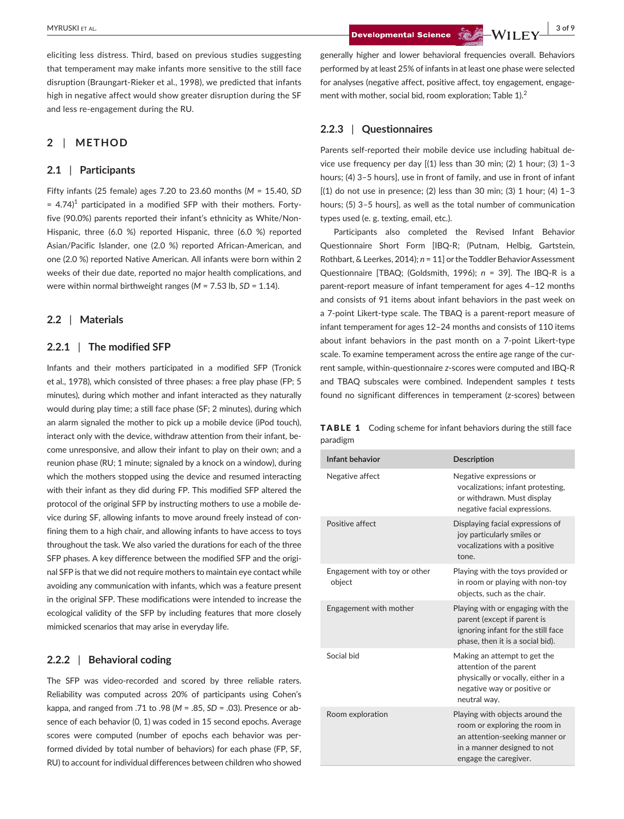eliciting less distress. Third, based on previous studies suggesting that temperament may make infants more sensitive to the still face disruption (Braungart-Rieker et al., 1998), we predicted that infants high in negative affect would show greater disruption during the SF and less re-engagement during the RU.

## **2** | **METHOD**

## **2.1** | **Participants**

Fifty infants (25 female) ages 7.20 to 23.60 months (*M* = 15.40, *SD*  $= 4.74$ <sup>1</sup> participated in a modified SFP with their mothers. Fortyfive (90.0%) parents reported their infant's ethnicity as White/Non-Hispanic, three (6.0 %) reported Hispanic, three (6.0 %) reported Asian/Pacific Islander, one (2.0 %) reported African-American, and one (2.0 %) reported Native American. All infants were born within 2 weeks of their due date, reported no major health complications, and were within normal birthweight ranges (*M* = 7.53 lb, *SD* = 1.14).

## **2.2** | **Materials**

## **2.2.1** | **The modified SFP**

Infants and their mothers participated in a modified SFP (Tronick et al., 1978), which consisted of three phases: a free play phase (FP; 5 minutes), during which mother and infant interacted as they naturally would during play time; a still face phase (SF; 2 minutes), during which an alarm signaled the mother to pick up a mobile device (iPod touch), interact only with the device, withdraw attention from their infant, become unresponsive, and allow their infant to play on their own; and a reunion phase (RU; 1 minute; signaled by a knock on a window), during which the mothers stopped using the device and resumed interacting with their infant as they did during FP. This modified SFP altered the protocol of the original SFP by instructing mothers to use a mobile device during SF, allowing infants to move around freely instead of confining them to a high chair, and allowing infants to have access to toys throughout the task. We also varied the durations for each of the three SFP phases. A key difference between the modified SFP and the original SFP is that we did not require mothers to maintain eye contact while avoiding any communication with infants, which was a feature present in the original SFP. These modifications were intended to increase the ecological validity of the SFP by including features that more closely mimicked scenarios that may arise in everyday life.

#### **2.2.2** | **Behavioral coding**

The SFP was video-recorded and scored by three reliable raters. Reliability was computed across 20% of participants using Cohen's kappa, and ranged from .71 to .98 (*M* = .85, *SD* = .03). Presence or absence of each behavior (0, 1) was coded in 15 second epochs. Average scores were computed (number of epochs each behavior was performed divided by total number of behaviors) for each phase (FP, SF, RU) to account for individual differences between children who showed

**Developmental Science Contract Contract Contract Contract Contract Contract Contract Contract Contract Contract Contract Contract Contract Contract Contract Contract Contract Contract Contract Contract Contract Contract C** 

generally higher and lower behavioral frequencies overall. Behaviors performed by at least 25% of infants in at least one phase were selected for analyses (negative affect, positive affect, toy engagement, engagement with mother, social bid, room exploration; Table 1).<sup>2</sup>

#### **2.2.3** | **Questionnaires**

Parents self-reported their mobile device use including habitual device use frequency per day  $[(1)$  less than 30 min; (2) 1 hour; (3) 1-3 hours; (4) 3–5 hours], use in front of family, and use in front of infant  $[(1)$  do not use in presence; (2) less than 30 min; (3) 1 hour; (4) 1-3 hours; (5) 3–5 hours], as well as the total number of communication types used (e. g. texting, email, etc.).

Participants also completed the Revised Infant Behavior Questionnaire Short Form [IBQ-R; (Putnam, Helbig, Gartstein, Rothbart, & Leerkes, 2014); *n* = 11] or the Toddler Behavior Assessment Questionnaire [TBAQ; (Goldsmith, 1996); *n* = 39]. The IBQ-R is a parent-report measure of infant temperament for ages 4–12 months and consists of 91 items about infant behaviors in the past week on a 7-point Likert-type scale. The TBAQ is a parent-report measure of infant temperament for ages 12–24 months and consists of 110 items about infant behaviors in the past month on a 7-point Likert-type scale. To examine temperament across the entire age range of the current sample, within-questionnaire *z*-scores were computed and IBQ-R and TBAQ subscales were combined. Independent samples *t* tests found no significant differences in temperament (z-scores) between

TABLE 1 Coding scheme for infant behaviors during the still face paradigm

| Infant behavior                        | <b>Description</b>                                                                                                                                         |  |  |  |  |
|----------------------------------------|------------------------------------------------------------------------------------------------------------------------------------------------------------|--|--|--|--|
| Negative affect                        | Negative expressions or<br>vocalizations; infant protesting,<br>or withdrawn. Must display<br>negative facial expressions.                                 |  |  |  |  |
| Positive affect                        | Displaying facial expressions of<br>joy particularly smiles or<br>vocalizations with a positive<br>tone.                                                   |  |  |  |  |
| Engagement with toy or other<br>object | Playing with the toys provided or<br>in room or playing with non-toy<br>objects, such as the chair.                                                        |  |  |  |  |
| Engagement with mother                 | Playing with or engaging with the<br>parent (except if parent is<br>ignoring infant for the still face<br>phase, then it is a social bid).                 |  |  |  |  |
| Social bid                             | Making an attempt to get the<br>attention of the parent<br>physically or vocally, either in a<br>negative way or positive or<br>neutral way.               |  |  |  |  |
| Room exploration                       | Playing with objects around the<br>room or exploring the room in<br>an attention-seeking manner or<br>in a manner designed to not<br>engage the caregiver. |  |  |  |  |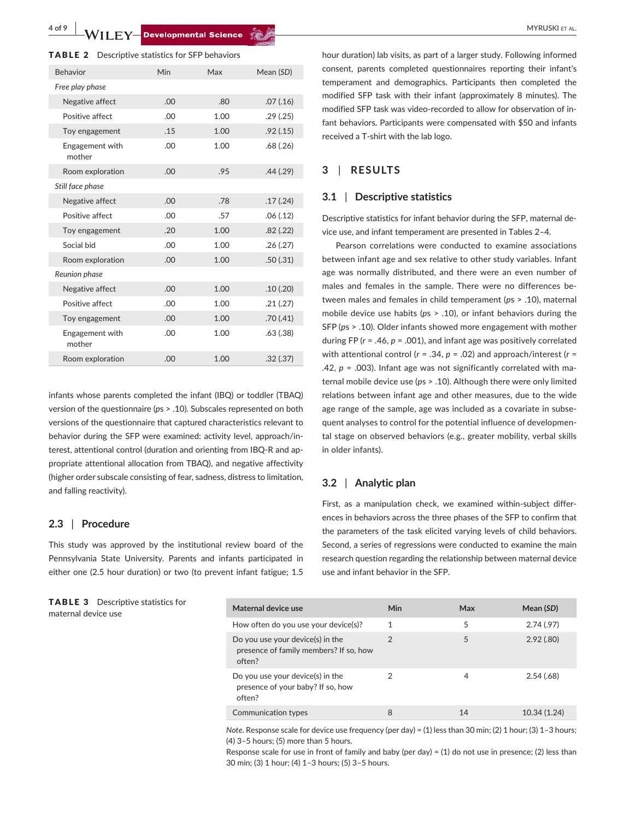**4 of 9 WILEY-Developmental Science Come Account Come and ACCOUNT ALL MYRUSKI ET AL.** 

|  |  |  |  |  |  | <b>TABLE 2</b> Descriptive statistics for SFP behaviors |  |  |  |  |  |  |  |  |
|--|--|--|--|--|--|---------------------------------------------------------|--|--|--|--|--|--|--|--|
|--|--|--|--|--|--|---------------------------------------------------------|--|--|--|--|--|--|--|--|

| <b>Behavior</b>           | Min | Max  | Mean (SD) |
|---------------------------|-----|------|-----------|
| Free play phase           |     |      |           |
| Negative affect           | .00 | .80  | .07(.16)  |
| Positive affect           | .00 | 1.00 | .29(.25)  |
| Toy engagement            | .15 | 1.00 | .92(.15)  |
| Engagement with<br>mother | .00 | 1.00 | .68(.26)  |
| Room exploration          | .00 | .95  | .44(.29)  |
| Still face phase          |     |      |           |
| Negative affect           | .00 | .78  | .17(.24)  |
| Positive affect           | .00 | .57  | .06(.12)  |
| Toy engagement            | .20 | 1.00 | .82(.22)  |
| Social bid                | .00 | 1.00 | .26(.27)  |
| Room exploration          | .00 | 1.00 | .50(.31)  |
| Reunion phase             |     |      |           |
| Negative affect           | .00 | 1.00 | .10(.20)  |
| Positive affect           | .00 | 1.00 | .21(.27)  |
| Toy engagement            | .00 | 1.00 | .70(.41)  |
| Engagement with<br>mother | .00 | 1.00 | .63(.38)  |
| Room exploration          | .00 | 1.00 | .32(.37)  |

infants whose parents completed the infant (IBQ) or toddler (TBAQ) version of the questionnaire (*p*s > .10). Subscales represented on both versions of the questionnaire that captured characteristics relevant to behavior during the SFP were examined: activity level, approach/interest, attentional control (duration and orienting from IBQ-R and appropriate attentional allocation from TBAQ), and negative affectivity (higher order subscale consisting of fear, sadness, distress to limitation, and falling reactivity).

#### **2.3** | **Procedure**

This study was approved by the institutional review board of the Pennsylvania State University. Parents and infants participated in either one (2.5 hour duration) or two (to prevent infant fatigue; 1.5

TABLE 3 Descriptive statistics for maternal device use

hour duration) lab visits, as part of a larger study. Following informed consent, parents completed questionnaires reporting their infant's temperament and demographics. Participants then completed the modified SFP task with their infant (approximately 8 minutes). The modified SFP task was video-recorded to allow for observation of infant behaviors. Participants were compensated with \$50 and infants received a T-shirt with the lab logo.

## **3** | **RESULTS**

#### **3.1** | **Descriptive statistics**

Descriptive statistics for infant behavior during the SFP, maternal device use, and infant temperament are presented in Tables 2–4.

Pearson correlations were conducted to examine associations between infant age and sex relative to other study variables. Infant age was normally distributed, and there were an even number of males and females in the sample. There were no differences between males and females in child temperament (*p*s > .10), maternal mobile device use habits (*p*s > .10), or infant behaviors during the SFP (*p*s > .10). Older infants showed more engagement with mother during FP (*r* = .46, *p* = .001), and infant age was positively correlated with attentional control (*r* = .34, *p* = .02) and approach/interest (*r* = .42,  $p = 0.003$ ). Infant age was not significantly correlated with maternal mobile device use (*p*s > .10). Although there were only limited relations between infant age and other measures, due to the wide age range of the sample, age was included as a covariate in subsequent analyses to control for the potential influence of developmental stage on observed behaviors (e.g., greater mobility, verbal skills in older infants).

## **3.2** | **Analytic plan**

First, as a manipulation check, we examined within-subject differences in behaviors across the three phases of the SFP to confirm that the parameters of the task elicited varying levels of child behaviors. Second, a series of regressions were conducted to examine the main research question regarding the relationship between maternal device use and infant behavior in the SFP.

| Maternal device use                                                                  | Min           | Max | Mean (SD)    |
|--------------------------------------------------------------------------------------|---------------|-----|--------------|
| How often do you use your device(s)?                                                 | 1             | 5   | 2.74(0.97)   |
| Do you use your device(s) in the<br>presence of family members? If so, how<br>often? | $\mathcal{P}$ | 5   | 2.92(.80)    |
| Do you use your device(s) in the<br>presence of your baby? If so, how<br>often?      |               | 4   | 2.54(.68)    |
| Communication types                                                                  | 8             | 14  | 10.34 (1.24) |

*Note*. Response scale for device use frequency (per day) = (1) less than 30 min; (2) 1 hour; (3) 1-3 hours; (4) 3–5 hours; (5) more than 5 hours.

Response scale for use in front of family and baby (per day) = (1) do not use in presence; (2) less than 30 min; (3) 1 hour; (4) 1–3 hours; (5) 3–5 hours.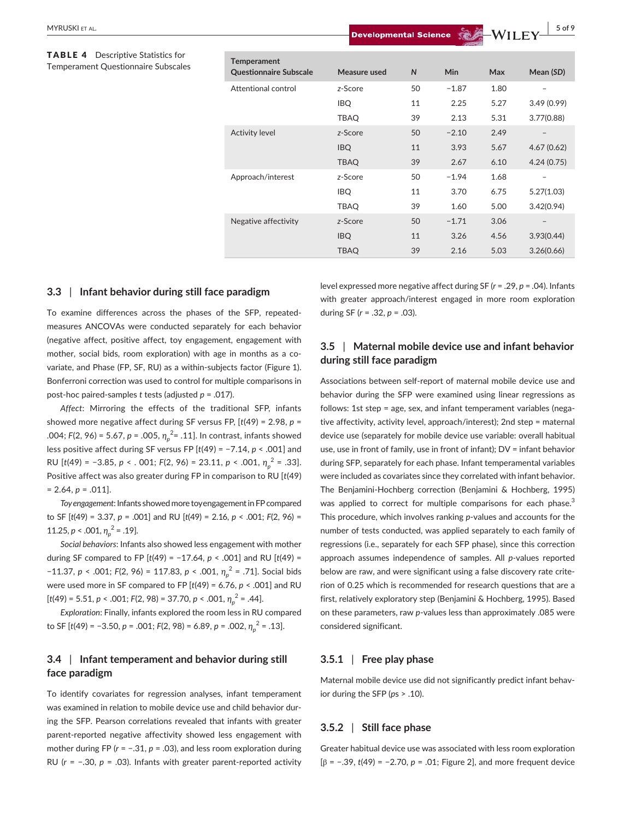#### TABLE 4 Descriptive Statistics for Temperament Questionnaire Subscales

| <b>Temperament</b>            |              |              |         |      |            |
|-------------------------------|--------------|--------------|---------|------|------------|
| <b>Questionnaire Subscale</b> | Measure used | $\mathsf{N}$ | Min     | Max  | Mean (SD)  |
| Attentional control           | z-Score      | 50           | $-1.87$ | 1.80 |            |
|                               | <b>IBQ</b>   | 11           | 2.25    | 5.27 | 3.49(0.99) |
|                               | <b>TBAQ</b>  | 39           | 2.13    | 5.31 | 3.77(0.88) |
| <b>Activity level</b>         | z-Score      | 50           | $-2.10$ | 2.49 |            |
|                               | <b>IBQ</b>   | 11           | 3.93    | 5.67 | 4.67(0.62) |
|                               | <b>TBAQ</b>  | 39           | 2.67    | 6.10 | 4.24(0.75) |
| Approach/interest             | z-Score      | 50           | $-1.94$ | 1.68 |            |
|                               | <b>IBQ</b>   | 11           | 3.70    | 6.75 | 5.27(1.03) |
|                               | <b>TBAQ</b>  | 39           | 1.60    | 5.00 | 3.42(0.94) |
| Negative affectivity          | z-Score      | 50           | $-1.71$ | 3.06 |            |
|                               | <b>IBQ</b>   | 11           | 3.26    | 4.56 | 3.93(0.44) |
|                               | <b>TBAQ</b>  | 39           | 2.16    | 5.03 | 3.26(0.66) |

## **3.3** | **Infant behavior during still face paradigm**

To examine differences across the phases of the SFP, repeatedmeasures ANCOVAs were conducted separately for each behavior (negative affect, positive affect, toy engagement, engagement with mother, social bids, room exploration) with age in months as a covariate, and Phase (FP, SF, RU) as a within-subjects factor (Figure 1). Bonferroni correction was used to control for multiple comparisons in post-hoc paired-samples *t* tests (adjusted *p* = .017).

*Affect*: Mirroring the effects of the traditional SFP, infants showed more negative affect during SF versus FP, [*t*(49) = 2.98, *p* = .004; *F*(2, 96) = 5.67, *p* = .005, *ƞ<sup>p</sup>* 2 = .11]. In contrast, infants showed less positive affect during SF versus FP [*t*(49) = −7.14, *p* < .001] and RU [*t*(49) = −3.85, *p* < . 001; *F*(2, 96) = 23.11, *p* < .001, *ƞ<sup>p</sup>* <sup>2</sup> = .33]. Positive affect was also greater during FP in comparison to RU [*t*(49)  $= 2.64, p = .011$ ].

*Toy engagement*: Infants showed more toy engagement in FP compared to SF [*t*(49) = 3.37, *p* = .001] and RU [*t*(49) = 2.16, *p* < .001; *F*(2, 96) = 11.25,  $p < .001$ ,  $\eta_p^2 = .19$ .

*Social behaviors*: Infants also showed less engagement with mother during SF compared to FP [*t*(49) = −17.64, *p* < .001] and RU [*t*(49) = −11.37, *p* < .001; *F*(2, 96) = 117.83, *p* < .001, *ƞ<sup>p</sup>* <sup>2</sup> = .71]. Social bids were used more in SF compared to FP [*t*(49) = 6.76, *p* < .001] and RU [*t*(49) = 5.51, *p* < .001; *F*(2, 98) = 37.70, *p* < .001, *ƞ<sup>p</sup>* <sup>2</sup> = .44].

*Exploration*: Finally, infants explored the room less in RU compared to SF [*t*(49) = −3.50, *p* = .001; *F*(2, 98) = 6.89, *p* = .002, *ƞ<sup>p</sup>* <sup>2</sup> = .13].

## **3.4** | **Infant temperament and behavior during still face paradigm**

To identify covariates for regression analyses, infant temperament was examined in relation to mobile device use and child behavior during the SFP. Pearson correlations revealed that infants with greater parent-reported negative affectivity showed less engagement with mother during FP (*r* = −.31, *p* = .03), and less room exploration during RU (*r* = −.30, *p* = .03). Infants with greater parent-reported activity level expressed more negative affect during SF (*r* = .29, *p* = .04). Infants with greater approach/interest engaged in more room exploration during SF (*r* = .32, *p* = .03).

## **3.5** | **Maternal mobile device use and infant behavior during still face paradigm**

Associations between self-report of maternal mobile device use and behavior during the SFP were examined using linear regressions as follows: 1st step = age, sex, and infant temperament variables (negative affectivity, activity level, approach/interest); 2nd step = maternal device use (separately for mobile device use variable: overall habitual use, use in front of family, use in front of infant); DV = infant behavior during SFP, separately for each phase. Infant temperamental variables were included as covariates since they correlated with infant behavior. The Benjamini-Hochberg correction (Benjamini & Hochberg, 1995) was applied to correct for multiple comparisons for each phase.<sup>3</sup> This procedure, which involves ranking *p*-values and accounts for the number of tests conducted, was applied separately to each family of regressions (i.e., separately for each SFP phase), since this correction approach assumes independence of samples. All *p-*values reported below are raw, and were significant using a false discovery rate criterion of 0.25 which is recommended for research questions that are a first, relatively exploratory step (Benjamini & Hochberg, 1995). Based on these parameters, raw *p*-values less than approximately .085 were considered significant.

## **3.5.1** | **Free play phase**

Maternal mobile device use did not significantly predict infant behavior during the SFP (*p*s > .10).

## **3.5.2** | **Still face phase**

Greater habitual device use was associated with less room exploration [β = −.39, *t*(49) = −2.70, *p* = .01; Figure 2], and more frequent device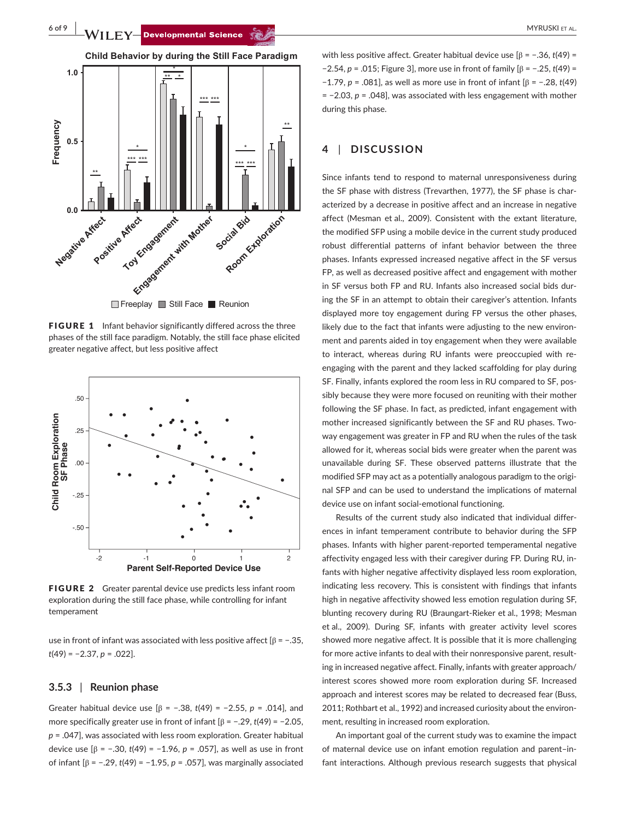**6 of 9 WILEY-Developmental Science Come Account Come and ACCOUNT MYRUSKI ET AL.** 



FIGURE 1 Infant behavior significantly differed across the three phases of the still face paradigm. Notably, the still face phase elicited greater negative affect, but less positive affect



FIGURE 2 Greater parental device use predicts less infant room exploration during the still face phase, while controlling for infant temperament

use in front of infant was associated with less positive affect  $[\beta = -.35, ]$ *t*(49) = −2.37, *p* = .022].

#### **3.5.3** | **Reunion phase**

Greater habitual device use [β = −.38, *t*(49) = −2.55, *p* = .014], and more specifically greater use in front of infant [β = −.29, *t*(49) = −2.05, *p* = .047], was associated with less room exploration. Greater habitual device use [β = −.30, *t*(49) = −1.96, *p* = .057], as well as use in front of infant [β = −.29, *t*(49) = −1.95, *p* = .057], was marginally associated

with less positive affect. Greater habitual device use [β = −.36, *t*(49) = −2.54, *p* = .015; Figure 3], more use in front of family [β = −.25, *t*(49) = −1.79, *p* = .081], as well as more use in front of infant [β = −.28, *t*(49) = −2.03, *p* = .048], was associated with less engagement with mother during this phase.

## **4** | **DISCUSSION**

Since infants tend to respond to maternal unresponsiveness during the SF phase with distress (Trevarthen, 1977), the SF phase is characterized by a decrease in positive affect and an increase in negative affect (Mesman et al., 2009). Consistent with the extant literature, the modified SFP using a mobile device in the current study produced robust differential patterns of infant behavior between the three phases. Infants expressed increased negative affect in the SF versus FP, as well as decreased positive affect and engagement with mother in SF versus both FP and RU. Infants also increased social bids during the SF in an attempt to obtain their caregiver's attention. Infants displayed more toy engagement during FP versus the other phases, likely due to the fact that infants were adjusting to the new environment and parents aided in toy engagement when they were available to interact, whereas during RU infants were preoccupied with reengaging with the parent and they lacked scaffolding for play during SF. Finally, infants explored the room less in RU compared to SF, possibly because they were more focused on reuniting with their mother following the SF phase. In fact, as predicted, infant engagement with mother increased significantly between the SF and RU phases. Twoway engagement was greater in FP and RU when the rules of the task allowed for it, whereas social bids were greater when the parent was unavailable during SF. These observed patterns illustrate that the modified SFP may act as a potentially analogous paradigm to the original SFP and can be used to understand the implications of maternal device use on infant social-emotional functioning.

Results of the current study also indicated that individual differences in infant temperament contribute to behavior during the SFP phases. Infants with higher parent-reported temperamental negative affectivity engaged less with their caregiver during FP. During RU, infants with higher negative affectivity displayed less room exploration, indicating less recovery. This is consistent with findings that infants high in negative affectivity showed less emotion regulation during SF, blunting recovery during RU (Braungart-Rieker et al., 1998; Mesman et al., 2009). During SF, infants with greater activity level scores showed more negative affect. It is possible that it is more challenging for more active infants to deal with their nonresponsive parent, resulting in increased negative affect. Finally, infants with greater approach/ interest scores showed more room exploration during SF. Increased approach and interest scores may be related to decreased fear (Buss, 2011; Rothbart et al., 1992) and increased curiosity about the environment, resulting in increased room exploration.

An important goal of the current study was to examine the impact of maternal device use on infant emotion regulation and parent–infant interactions. Although previous research suggests that physical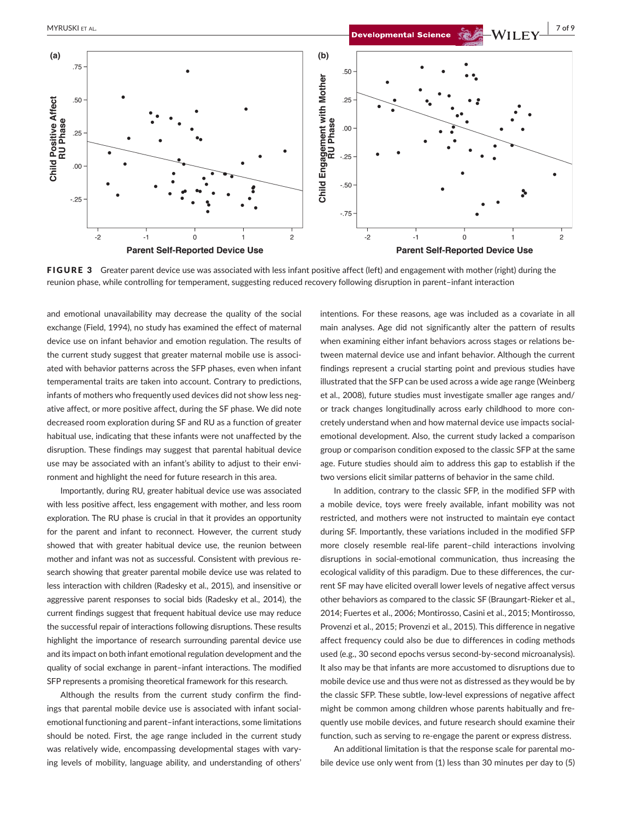

FIGURE 3 Greater parent device use was associated with less infant positive affect (left) and engagement with mother (right) during the reunion phase, while controlling for temperament, suggesting reduced recovery following disruption in parent–infant interaction

and emotional unavailability may decrease the quality of the social exchange (Field, 1994), no study has examined the effect of maternal device use on infant behavior and emotion regulation. The results of the current study suggest that greater maternal mobile use is associated with behavior patterns across the SFP phases, even when infant temperamental traits are taken into account. Contrary to predictions, infants of mothers who frequently used devices did not show less negative affect, or more positive affect, during the SF phase. We did note decreased room exploration during SF and RU as a function of greater habitual use, indicating that these infants were not unaffected by the disruption. These findings may suggest that parental habitual device use may be associated with an infant's ability to adjust to their environment and highlight the need for future research in this area.

Importantly, during RU, greater habitual device use was associated with less positive affect, less engagement with mother, and less room exploration. The RU phase is crucial in that it provides an opportunity for the parent and infant to reconnect. However, the current study showed that with greater habitual device use, the reunion between mother and infant was not as successful. Consistent with previous research showing that greater parental mobile device use was related to less interaction with children (Radesky et al., 2015), and insensitive or aggressive parent responses to social bids (Radesky et al., 2014), the current findings suggest that frequent habitual device use may reduce the successful repair of interactions following disruptions. These results highlight the importance of research surrounding parental device use and its impact on both infant emotional regulation development and the quality of social exchange in parent–infant interactions. The modified SFP represents a promising theoretical framework for this research.

Although the results from the current study confirm the findings that parental mobile device use is associated with infant socialemotional functioning and parent–infant interactions, some limitations should be noted. First, the age range included in the current study was relatively wide, encompassing developmental stages with varying levels of mobility, language ability, and understanding of others' intentions. For these reasons, age was included as a covariate in all main analyses. Age did not significantly alter the pattern of results when examining either infant behaviors across stages or relations between maternal device use and infant behavior. Although the current findings represent a crucial starting point and previous studies have illustrated that the SFP can be used across a wide age range (Weinberg et al., 2008), future studies must investigate smaller age ranges and/ or track changes longitudinally across early childhood to more concretely understand when and how maternal device use impacts socialemotional development. Also, the current study lacked a comparison group or comparison condition exposed to the classic SFP at the same age. Future studies should aim to address this gap to establish if the two versions elicit similar patterns of behavior in the same child.

In addition, contrary to the classic SFP, in the modified SFP with a mobile device, toys were freely available, infant mobility was not restricted, and mothers were not instructed to maintain eye contact during SF. Importantly, these variations included in the modified SFP more closely resemble real-life parent–child interactions involving disruptions in social-emotional communication, thus increasing the ecological validity of this paradigm. Due to these differences, the current SF may have elicited overall lower levels of negative affect versus other behaviors as compared to the classic SF (Braungart-Rieker et al., 2014; Fuertes et al., 2006; Montirosso, Casini et al., 2015; Montirosso, Provenzi et al., 2015; Provenzi et al., 2015). This difference in negative affect frequency could also be due to differences in coding methods used (e.g., 30 second epochs versus second-by-second microanalysis). It also may be that infants are more accustomed to disruptions due to mobile device use and thus were not as distressed as they would be by the classic SFP. These subtle, low-level expressions of negative affect might be common among children whose parents habitually and frequently use mobile devices, and future research should examine their function, such as serving to re-engage the parent or express distress.

An additional limitation is that the response scale for parental mobile device use only went from (1) less than 30 minutes per day to (5)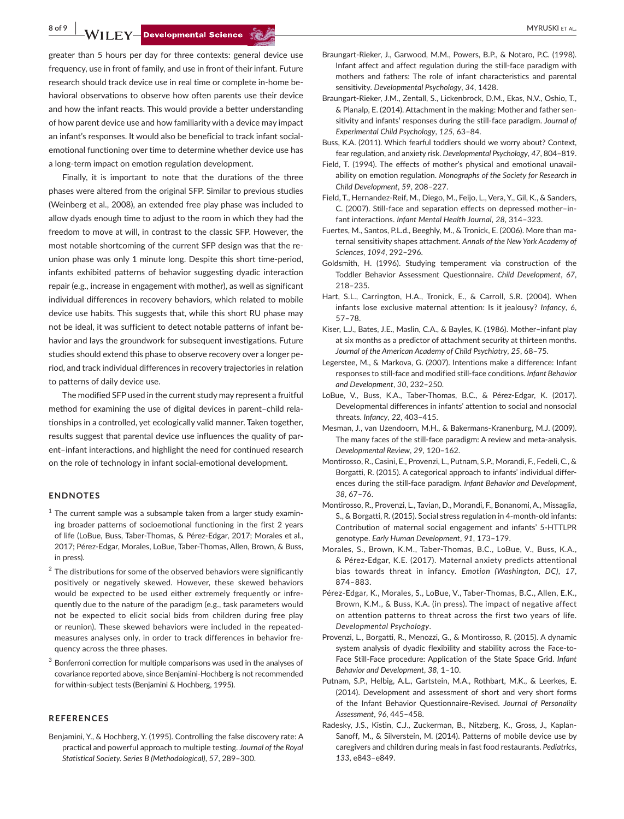**8 of 9 WILEY-Developmental Science SECONDER CONSUMER ALL CONSUMER ALL CONSUMER ALL CONSUMER ALL CONSUMER ALL** 

greater than 5 hours per day for three contexts: general device use frequency, use in front of family, and use in front of their infant. Future research should track device use in real time or complete in-home behavioral observations to observe how often parents use their device and how the infant reacts. This would provide a better understanding of how parent device use and how familiarity with a device may impact an infant's responses. It would also be beneficial to track infant socialemotional functioning over time to determine whether device use has a long-term impact on emotion regulation development.

Finally, it is important to note that the durations of the three phases were altered from the original SFP. Similar to previous studies (Weinberg et al., 2008), an extended free play phase was included to allow dyads enough time to adjust to the room in which they had the freedom to move at will, in contrast to the classic SFP. However, the most notable shortcoming of the current SFP design was that the reunion phase was only 1 minute long. Despite this short time-period, infants exhibited patterns of behavior suggesting dyadic interaction repair (e.g., increase in engagement with mother), as well as significant individual differences in recovery behaviors, which related to mobile device use habits. This suggests that, while this short RU phase may not be ideal, it was sufficient to detect notable patterns of infant behavior and lays the groundwork for subsequent investigations. Future studies should extend this phase to observe recovery over a longer period, and track individual differences in recovery trajectories in relation to patterns of daily device use.

The modified SFP used in the current study may represent a fruitful method for examining the use of digital devices in parent–child relationships in a controlled, yet ecologically valid manner. Taken together, results suggest that parental device use influences the quality of parent–infant interactions, and highlight the need for continued research on the role of technology in infant social-emotional development.

#### **ENDNOTES**

- $1$  The current sample was a subsample taken from a larger study examining broader patterns of socioemotional functioning in the first 2 years of life (LoBue, Buss, Taber-Thomas, & Pérez-Edgar, 2017; Morales et al., 2017; Pérez-Edgar, Morales, LoBue, Taber-Thomas, Allen, Brown, & Buss, in press).
- $2$  The distributions for some of the observed behaviors were significantly positively or negatively skewed. However, these skewed behaviors would be expected to be used either extremely frequently or infrequently due to the nature of the paradigm (e.g., task parameters would not be expected to elicit social bids from children during free play or reunion). These skewed behaviors were included in the repeatedmeasures analyses only, in order to track differences in behavior frequency across the three phases.
- $3$  Bonferroni correction for multiple comparisons was used in the analyses of covariance reported above, since Benjamini-Hochberg is not recommended for within-subject tests (Benjamini & Hochberg, 1995).

### **REFERENCES**

Benjamini, Y., & Hochberg, Y. (1995). Controlling the false discovery rate: A practical and powerful approach to multiple testing. *Journal of the Royal Statistical Society. Series B (Methodological)*, *57*, 289–300.

- Braungart-Rieker, J., Garwood, M.M., Powers, B.P., & Notaro, P.C. (1998). Infant affect and affect regulation during the still-face paradigm with mothers and fathers: The role of infant characteristics and parental sensitivity. *Developmental Psychology*, *34*, 1428.
- Braungart-Rieker, J.M., Zentall, S., Lickenbrock, D.M., Ekas, N.V., Oshio, T., & Planalp, E. (2014). Attachment in the making: Mother and father sensitivity and infants' responses during the still-face paradigm. *Journal of Experimental Child Psychology*, *125*, 63–84.
- Buss, K.A. (2011). Which fearful toddlers should we worry about? Context, fear regulation, and anxiety risk. *Developmental Psychology*, *47*, 804–819.
- Field, T. (1994). The effects of mother's physical and emotional unavailability on emotion regulation. *Monographs of the Society for Research in Child Development*, *59*, 208–227.
- Field, T., Hernandez-Reif, M., Diego, M., Feijo, L., Vera, Y., Gil, K., & Sanders, C. (2007). Still-face and separation effects on depressed mother–infant interactions. *Infant Mental Health Journal*, *28*, 314–323.
- Fuertes, M., Santos, P.L.d., Beeghly, M., & Tronick, E. (2006). More than maternal sensitivity shapes attachment. *Annals of the New York Academy of Sciences*, *1094*, 292–296.
- Goldsmith, H. (1996). Studying temperament via construction of the Toddler Behavior Assessment Questionnaire. *Child Development*, *67*, 218–235.
- Hart, S.L., Carrington, H.A., Tronick, E., & Carroll, S.R. (2004). When infants lose exclusive maternal attention: Is it jealousy? *Infancy*, *6*, 57–78.
- Kiser, L.J., Bates, J.E., Maslin, C.A., & Bayles, K. (1986). Mother–infant play at six months as a predictor of attachment security at thirteen months. *Journal of the American Academy of Child Psychiatry*, *25*, 68–75.
- Legerstee, M., & Markova, G. (2007). Intentions make a difference: Infant responses to still-face and modified still-face conditions. *Infant Behavior and Development*, *30*, 232–250.
- LoBue, V., Buss, K.A., Taber-Thomas, B.C., & Pérez-Edgar, K. (2017). Developmental differences in infants' attention to social and nonsocial threats. *Infancy*, *22*, 403–415.
- Mesman, J., van IJzendoorn, M.H., & Bakermans-Kranenburg, M.J. (2009). The many faces of the still-face paradigm: A review and meta-analysis. *Developmental Review*, *29*, 120–162.
- Montirosso, R., Casini, E., Provenzi, L., Putnam, S.P., Morandi, F., Fedeli, C., & Borgatti, R. (2015). A categorical approach to infants' individual differences during the still-face paradigm. *Infant Behavior and Development*, *38*, 67–76.
- Montirosso, R., Provenzi, L., Tavian, D., Morandi, F., Bonanomi,A., Missaglia, S., & Borgatti, R. (2015). Social stress regulation in 4-month-old infants: Contribution of maternal social engagement and infants' 5-HTTLPR genotype. *Early Human Development*, *91*, 173–179.
- Morales, S., Brown, K.M., Taber-Thomas, B.C., LoBue, V., Buss, K.A., & Pérez-Edgar, K.E. (2017). Maternal anxiety predicts attentional bias towards threat in infancy. *Emotion (Washington, DC)*, *17*, 874–883.
- Pérez-Edgar, K., Morales, S., LoBue, V., Taber-Thomas, B.C., Allen, E.K., Brown, K.M., & Buss, K.A. (in press). The impact of negative affect on attention patterns to threat across the first two years of life. *Developmental Psychology*.
- Provenzi, L., Borgatti, R., Menozzi, G., & Montirosso, R. (2015). A dynamic system analysis of dyadic flexibility and stability across the Face-to-Face Still-Face procedure: Application of the State Space Grid. *Infant Behavior and Development*, *38*, 1–10.
- Putnam, S.P., Helbig, A.L., Gartstein, M.A., Rothbart, M.K., & Leerkes, E. (2014). Development and assessment of short and very short forms of the Infant Behavior Questionnaire-Revised. *Journal of Personality Assessment*, *96*, 445–458.
- Radesky, J.S., Kistin, C.J., Zuckerman, B., Nitzberg, K., Gross, J., Kaplan-Sanoff, M., & Silverstein, M. (2014). Patterns of mobile device use by caregivers and children during meals in fast food restaurants. *Pediatrics*, *133*, e843–e849.